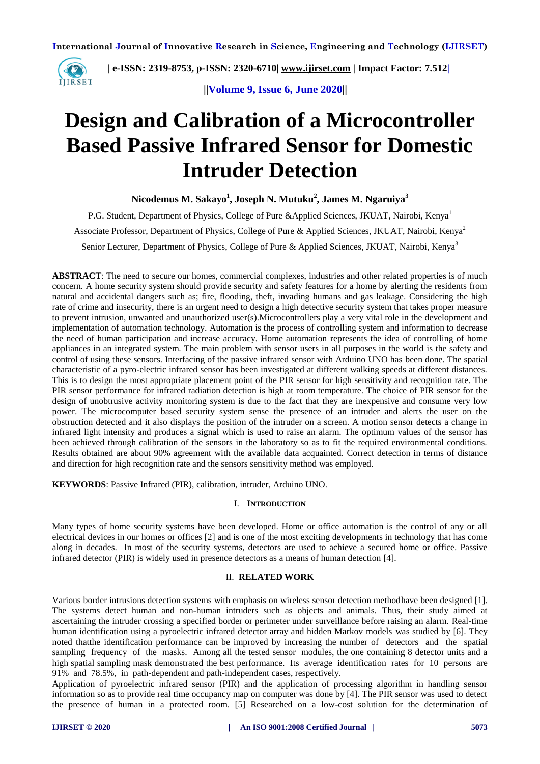

 **| e-ISSN: 2319-8753, p-ISSN: 2320-6710| [www.ijirset.com](http://www.ijirset.com/) | Impact Factor: 7.512|**

 **||Volume 9, Issue 6, June 2020||** 

# **Design and Calibration of a Microcontroller Based Passive Infrared Sensor for Domestic Intruder Detection**

**Nicodemus M. Sakayo<sup>1</sup> , Joseph N. Mutuku<sup>2</sup> , James M. Ngaruiya<sup>3</sup>**

P.G. Student, Department of Physics, College of Pure &Applied Sciences, JKUAT, Nairobi, Kenya<sup>1</sup> Associate Professor, Department of Physics, College of Pure & Applied Sciences, JKUAT, Nairobi, Kenya<sup>2</sup> Senior Lecturer, Department of Physics, College of Pure & Applied Sciences, JKUAT, Nairobi, Kenya<sup>3</sup>

**ABSTRACT**: The need to secure our homes, commercial complexes, industries and other related properties is of much concern. A home security system should provide security and safety features for a home by alerting the residents from natural and accidental dangers such as; fire, flooding, theft, invading humans and gas leakage. Considering the high rate of crime and insecurity, there is an urgent need to design a high detective security system that takes proper measure to prevent intrusion, unwanted and unauthorized user(s).Microcontrollers play a very vital role in the development and implementation of automation technology. Automation is the process of controlling system and information to decrease the need of human participation and increase accuracy. Home automation represents the idea of controlling of home appliances in an integrated system. The main problem with sensor users in all purposes in the world is the safety and control of using these sensors. Interfacing of the passive infrared sensor with Arduino UNO has been done. The spatial characteristic of a pyro-electric infrared sensor has been investigated at different walking speeds at different distances. This is to design the most appropriate placement point of the PIR sensor for high sensitivity and recognition rate. The PIR sensor performance for infrared radiation detection is high at room temperature. The choice of PIR sensor for the design of unobtrusive activity monitoring system is due to the fact that they are inexpensive and consume very low power. The microcomputer based security system sense the presence of an intruder and alerts the user on the obstruction detected and it also displays the position of the intruder on a screen. A motion sensor detects a change in infrared light intensity and produces a signal which is used to raise an alarm. The optimum values of the sensor has been achieved through calibration of the sensors in the laboratory so as to fit the required environmental conditions. Results obtained are about 90% agreement with the available data acquainted. Correct detection in terms of distance and direction for high recognition rate and the sensors sensitivity method was employed.

**KEYWORDS**: Passive Infrared (PIR), calibration, intruder, Arduino UNO.

#### I. **INTRODUCTION**

Many types of home security systems have been developed. Home or office automation is the control of any or all electrical devices in our homes or offices [2] and is one of the most exciting developments in technology that has come along in decades. In most of the security systems, detectors are used to achieve a secured home or office. Passive infrared detector (PIR) is widely used in presence detectors as a means of human detection [4].

#### II. **RELATED WORK**

Various border intrusions detection systems with emphasis on wireless sensor detection methodhave been designed [1]. The systems detect human and non-human intruders such as objects and animals. Thus, their study aimed at ascertaining the intruder crossing a specified border or perimeter under surveillance before raising an alarm. Real-time human identification using a pyroelectric infrared detector array and hidden Markov models was studied by [6]. They noted thatthe identification performance can be improved by increasing the number of detectors and the spatial sampling frequency of the masks. Among all the tested sensor modules, the one containing 8 detector units and a high spatial sampling mask demonstrated the best performance. Its average identification rates for 10 persons are 91% and 78.5%, in path-dependent and path-independent cases, respectively.

Application of pyroelectric infrared sensor (PIR) and the application of processing algorithm in handling sensor information so as to provide real time occupancy map on computer was done by [4]. The PIR sensor was used to detect the presence of human in a protected room. [5] Researched on a low-cost solution for the determination of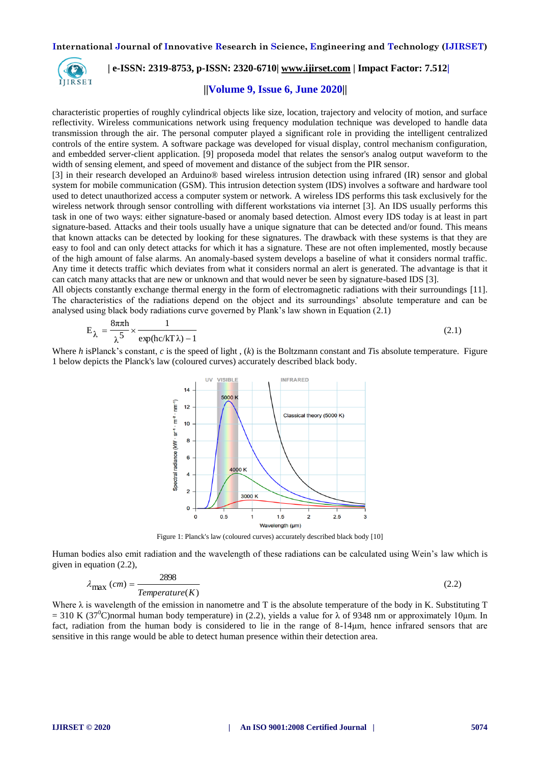

## **| e-ISSN: 2319-8753, p-ISSN: 2320-6710| [www.ijirset.com](http://www.ijirset.com/) | Impact Factor: 7.512|**

## **||Volume 9, Issue 6, June 2020||**

characteristic properties of roughly cylindrical objects like size, location, trajectory and velocity of motion, and surface reflectivity. Wireless communications network using frequency modulation technique was developed to handle data transmission through the air. The personal computer played a significant role in providing the intelligent centralized controls of the entire system. A software package was developed for visual display, control mechanism configuration, and embedded server-client application. [9] proposeda model that relates the sensor's analog output waveform to the width of sensing element, and speed of movement and distance of the subject from the PIR sensor.

[3] in their research developed an Arduino® based wireless intrusion detection using infrared (IR) sensor and global system for mobile communication (GSM). This intrusion detection system (IDS) involves a software and hardware tool used to detect unauthorized access a computer system or network. A wireless IDS performs this task exclusively for the wireless network through sensor controlling with different workstations via internet [3]. An IDS usually performs this task in one of two ways: either signature-based or anomaly based detection. Almost every IDS today is at least in part signature-based. Attacks and their tools usually have a unique signature that can be detected and/or found. This means that known attacks can be detected by looking for these signatures. The drawback with these systems is that they are easy to fool and can only detect attacks for which it has a signature. These are not often implemented, mostly because of the high amount of false alarms. An anomaly-based system develops a baseline of what it considers normal traffic. Any time it detects traffic which deviates from what it considers normal an alert is generated. The advantage is that it can catch many attacks that are new or unknown and that would never be seen by signature-based IDS [3].

All objects constantly exchange thermal energy in the form of electromagnetic radiations with their surroundings [11]. The characteristics of the radiations depend on the object and its surroundings' absolute temperature and can be analysed using black body radiations curve governed by Plank's law shown in Equation (2.1)

$$
E_{\lambda} = \frac{8\pi\pi h}{\lambda^5} \times \frac{1}{\exp(hc/kT\lambda) - 1}
$$
\n(2.1)

Where *h* isPlanck's constant, *c* is the [speed](https://www.britannica.com/science/speed-of-light) of light , (*k*) is the [Boltzmann](https://www.britannica.com/science/Boltzmann-constant) constant and *T*is absolute temperature. Figure 1 below depicts the Planck's law (coloured curves) accurately described black body.



Figure 1: Planck's law (coloured curves) accurately described black body [10]

Human bodies also emit radiation and the wavelength of these radiations can be calculated using Wein's law which is given in equation (2.2),

$$
\lambda_{\text{max}}\ (cm) = \frac{2898}{Temperature(K)}\tag{2.2}
$$

Where  $\lambda$  is wavelength of the emission in nanometre and T is the absolute temperature of the body in K. Substituting T  $= 310$  K (37<sup>o</sup>C)normal human body temperature) in (2.2), yields a value for  $\lambda$  of 9348 nm or approximately 10 µm. In fact, radiation from the human body is considered to lie in the range of 8-14μm, hence infrared sensors that are sensitive in this range would be able to detect human presence within their detection area.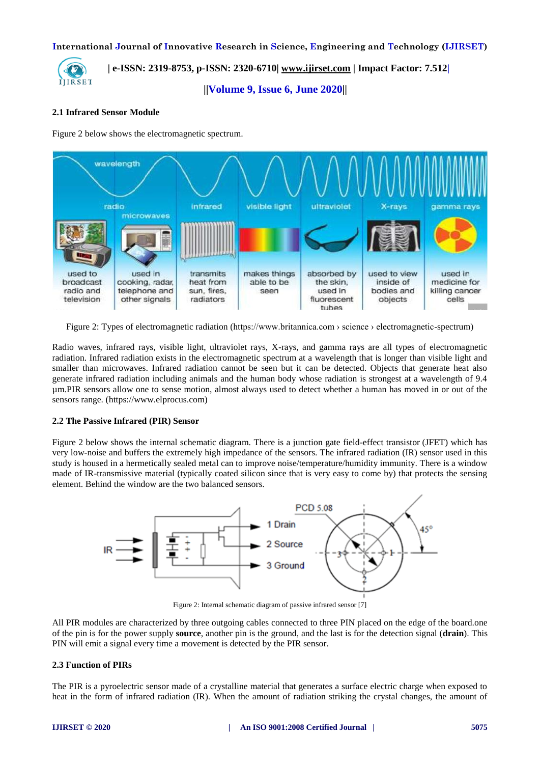

 **| e-ISSN: 2319-8753, p-ISSN: 2320-6710| [www.ijirset.com](http://www.ijirset.com/) | Impact Factor: 7.512|**

 **||Volume 9, Issue 6, June 2020||** 

#### **2.1 Infrared Sensor Module**

Figure 2 below shows the electromagnetic spectrum.



Figure 2: Types of electromagnetic radiation (https://www.britannica.com > science > electromagnetic-spectrum)

Radio waves, infrared rays, visible light, ultraviolet rays, X-rays, and gamma rays are all types of electromagnetic radiation. Infrared radiation exists in the electromagnetic spectrum at a wavelength that is longer than visible light and smaller than microwaves. Infrared radiation cannot be seen but it can be detected. Objects that generate heat also generate infrared radiation including animals and the human body whose radiation is strongest at a wavelength of 9.4 µm.PIR sensors allow one to sense motion, almost always used to detect whether a human has moved in or out of the sensors range. (https://www.elprocus.com)

#### **2.2 The Passive Infrared (PIR) Sensor**

Figure 2 below shows the internal schematic diagram. There is a junction gate field-effect transistor (JFET) which has very low-noise and buffers the extremely high impedance of the sensors. The infrared radiation (IR) sensor used in this study is housed in a hermetically sealed metal can to improve noise/temperature/humidity immunity. There is a window made of IR-transmissive material (typically coated silicon since that is very easy to come by) that protects the sensing element. Behind the window are the two balanced sensors.



Figure 2: Internal schematic diagram of passive infrared sensor [7]

All PIR modules are characterized by three outgoing cables connected to three PIN placed on the edge of the board.one of the pin is for the power supply **source**, another pin is the ground, and the last is for the detection signal (**drain**). This PIN will emit a signal every time a movement is detected by the PIR sensor.

#### **2.3 Function of PIRs**

The PIR is a pyroelectric sensor made of a crystalline material that generates a surface electric charge when exposed to heat in the form of infrared radiation (IR). When the amount of radiation striking the crystal changes, the amount of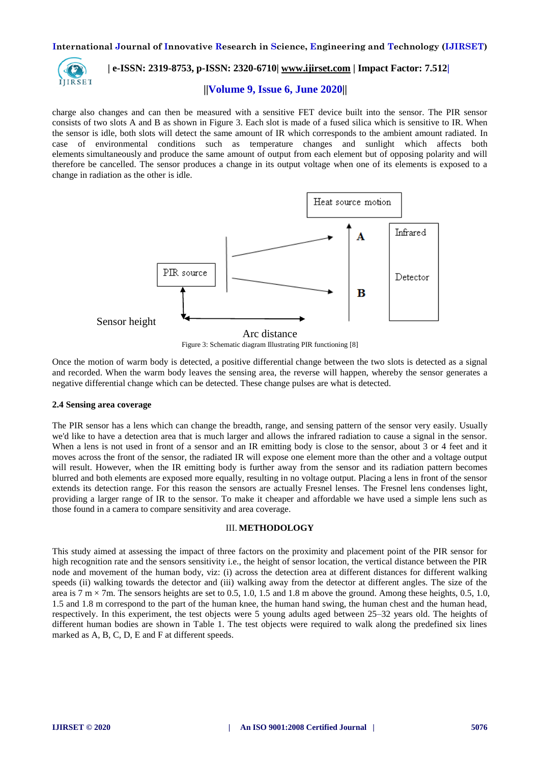

# **| e-ISSN: 2319-8753, p-ISSN: 2320-6710| [www.ijirset.com](http://www.ijirset.com/) | Impact Factor: 7.512|**

#### **||Volume 9, Issue 6, June 2020||**

charge also changes and can then be measured with a sensitive FET device built into the sensor. The PIR sensor consists of two slots A and B as shown in Figure 3. Each slot is made of a fused silica which is sensitive to IR. When the sensor is idle, both slots will detect the same amount of IR which corresponds to the ambient amount radiated. In case of environmental conditions such as temperature changes and sunlight which affects both elements simultaneously and produce the same amount of output from each element but of opposing polarity and will therefore be cancelled. The sensor produces a change in its output voltage when one of its elements is exposed to a change in radiation as the other is idle.





Once the motion of warm body is detected, a positive differential change between the two slots is detected as a signal and recorded. When the warm body leaves the sensing area, the reverse will happen, whereby the sensor generates a negative differential change which can be detected. These change pulses are what is detected.

#### **2.4 Sensing area coverage**

The PIR sensor has a lens which can change the breadth, range, and sensing pattern of the sensor very easily. Usually we'd like to have a detection area that is much larger and allows the infrared radiation to cause a signal in the sensor. When a lens is not used in front of a sensor and an IR emitting body is close to the sensor, about 3 or 4 feet and it moves across the front of the sensor, the radiated IR will expose one element more than the other and a voltage output will result. However, when the IR emitting body is further away from the sensor and its radiation pattern becomes blurred and both elements are exposed more equally, resulting in no voltage output. Placing a lens in front of the sensor extends its detection range. For this reason the sensors are actually Fresnel lenses. The Fresnel lens condenses light, providing a larger range of IR to the sensor. To make it cheaper and affordable we have used a simple lens such as those found in a camera to compare sensitivity and area coverage.

#### III. **METHODOLOGY**

This study aimed at assessing the impact of three factors on the proximity and placement point of the PIR sensor for high recognition rate and the sensors sensitivity i.e., the height of sensor location, the vertical distance between the PIR node and movement of the human body, viz: (i) across the detection area at different distances for different walking speeds (ii) walking towards the detector and (iii) walking away from the detector at different angles. The size of the area is  $7 \text{ m} \times 7 \text{ m}$ . The sensors heights are set to 0.5, 1.0, 1.5 and 1.8 m above the ground. Among these heights, 0.5, 1.0, 1.5 and 1.8 m correspond to the part of the human knee, the human hand swing, the human chest and the human head, respectively. In this experiment, the test objects were 5 young adults aged between 25–32 years old. The heights of different human bodies are shown in Table 1. The test objects were required to walk along the predefined six lines marked as A, B, C, D, E and F at different speeds.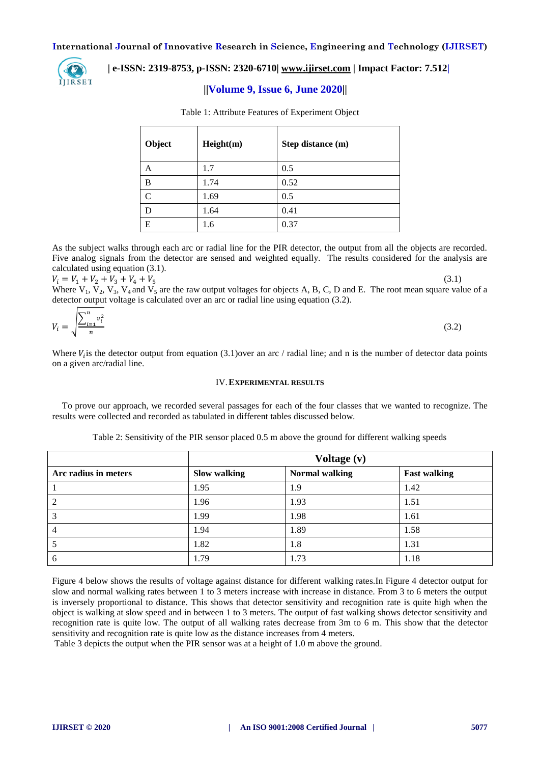

## **| e-ISSN: 2319-8753, p-ISSN: 2320-6710| [www.ijirset.com](http://www.ijirset.com/) | Impact Factor: 7.512|**

## **||Volume 9, Issue 6, June 2020||**

| Object       | Height(m) | Step distance (m) |
|--------------|-----------|-------------------|
| A            | 1.7       | 0.5               |
| B            | 1.74      | 0.52              |
| $\mathsf{C}$ | 1.69      | 0.5               |
| D            | 1.64      | 0.41              |
| E            | 1.6       | 0.37              |

Table 1: Attribute Features of Experiment Object

As the subject walks through each arc or radial line for the PIR detector, the output from all the objects are recorded. Five analog signals from the detector are sensed and weighted equally. The results considered for the analysis are calculated using equation (3.1).

 $V_i = V_1 + V_2 + V_3 + V_4 + V_5$ 

Where  $V_1$ ,  $V_2$ ,  $V_3$ ,  $V_4$  and  $V_5$  are the raw output voltages for objects A, B, C, D and E. The root mean square value of a detector output voltage is calculated over an arc or radial line using equation (3.2).

$$
V_i = \sqrt{\frac{\sum_{i=1}^n v_i^2}{n}}\tag{3.2}
$$

Where  $V_i$  is the detector output from equation (3.1)over an arc / radial line; and n is the number of detector data points on a given arc/radial line.

#### IV.**EXPERIMENTAL RESULTS**

To prove our approach, we recorded several passages for each of the four classes that we wanted to recognize. The results were collected and recorded as tabulated in different tables discussed below.

|                      |                     | Voltage (v)           |                     |  |
|----------------------|---------------------|-----------------------|---------------------|--|
| Arc radius in meters | <b>Slow walking</b> | <b>Normal walking</b> | <b>Fast walking</b> |  |
|                      | 1.95                | 1.9                   | 1.42                |  |
| 2                    | 1.96                | 1.93                  | 1.51                |  |
| 3                    | 1.99                | 1.98                  | 1.61                |  |
|                      | 1.94                | 1.89                  | 1.58                |  |
|                      | 1.82                | 1.8                   | 1.31                |  |
| 6                    | 1.79                | 1.73                  | 1.18                |  |

Table 2: Sensitivity of the PIR sensor placed 0.5 m above the ground for different walking speeds

Figure 4 below shows the results of voltage against distance for different walking rates.In Figure 4 detector output for slow and normal walking rates between 1 to 3 meters increase with increase in distance. From 3 to 6 meters the output is inversely proportional to distance. This shows that detector sensitivity and recognition rate is quite high when the object is walking at slow speed and in between 1 to 3 meters. The output of fast walking shows detector sensitivity and recognition rate is quite low. The output of all walking rates decrease from 3m to 6 m. This show that the detector sensitivity and recognition rate is quite low as the distance increases from 4 meters.

Table 3 depicts the output when the PIR sensor was at a height of 1.0 m above the ground.

(3.1)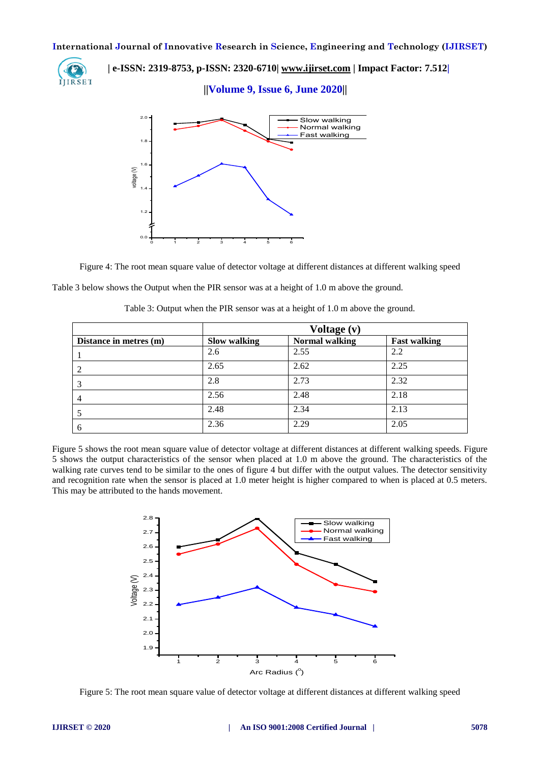

 **| e-ISSN: 2319-8753, p-ISSN: 2320-6710| [www.ijirset.com](http://www.ijirset.com/) | Impact Factor: 7.512|**

 **||Volume 9, Issue 6, June 2020||** 



Figure 4: The root mean square value of detector voltage at different distances at different walking speed

Table 3 below shows the Output when the PIR sensor was at a height of 1.0 m above the ground.

|                        | Voltage (v)  |                       |                     |
|------------------------|--------------|-----------------------|---------------------|
| Distance in metres (m) | Slow walking | <b>Normal walking</b> | <b>Fast walking</b> |
|                        | 2.6          | 2.55                  | 2.2                 |
|                        | 2.65         | 2.62                  | 2.25                |
|                        | 2.8          | 2.73                  | 2.32                |
|                        | 2.56         | 2.48                  | 2.18                |
|                        | 2.48         | 2.34                  | 2.13                |
| b                      | 2.36         | 2.29                  | 2.05                |

Table 3: Output when the PIR sensor was at a height of 1.0 m above the ground.

Figure 5 shows the root mean square value of detector voltage at different distances at different walking speeds. Figure 5 shows the output characteristics of the sensor when placed at 1.0 m above the ground. The characteristics of the walking rate curves tend to be similar to the ones of figure 4 but differ with the output values. The detector sensitivity and recognition rate when the sensor is placed at 1.0 meter height is higher compared to when is placed at 0.5 meters. This may be attributed to the hands movement.



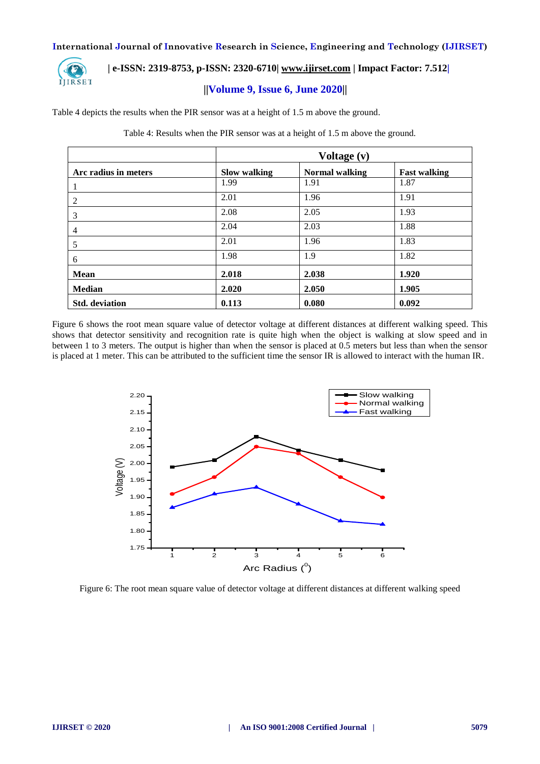

## **| e-ISSN: 2319-8753, p-ISSN: 2320-6710| [www.ijirset.com](http://www.ijirset.com/) | Impact Factor: 7.512|**

## **||Volume 9, Issue 6, June 2020||**

Table 4 depicts the results when the PIR sensor was at a height of 1.5 m above the ground.

|                       | Voltage (v)  |                       |                     |  |
|-----------------------|--------------|-----------------------|---------------------|--|
| Arc radius in meters  | Slow walking | <b>Normal walking</b> | <b>Fast walking</b> |  |
| 1                     | 1.99         | 1.91                  | 1.87                |  |
| 2                     | 2.01         | 1.96                  | 1.91                |  |
| 3                     | 2.08         | 2.05                  | 1.93                |  |
| $\overline{4}$        | 2.04         | 2.03                  | 1.88                |  |
| 5                     | 2.01         | 1.96                  | 1.83                |  |
| 6                     | 1.98         | 1.9                   | 1.82                |  |
| Mean                  | 2.018        | 2.038                 | 1.920               |  |
| <b>Median</b>         | 2.020        | 2.050                 | 1.905               |  |
| <b>Std.</b> deviation | 0.113        | 0.080                 | 0.092               |  |

Table 4: Results when the PIR sensor was at a height of 1.5 m above the ground.

Figure 6 shows the root mean square value of detector voltage at different distances at different walking speed. This shows that detector sensitivity and recognition rate is quite high when the object is walking at slow speed and in between 1 to 3 meters. The output is higher than when the sensor is placed at 0.5 meters but less than when the sensor is placed at 1 meter. This can be attributed to the sufficient time the sensor IR is allowed to interact with the human IR.



Figure 6: The root mean square value of detector voltage at different distances at different walking speed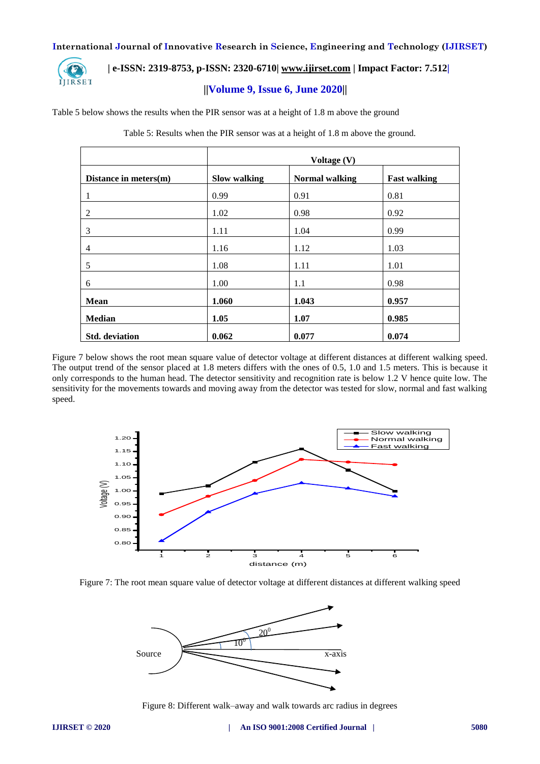

## **| e-ISSN: 2319-8753, p-ISSN: 2320-6710| [www.ijirset.com](http://www.ijirset.com/) | Impact Factor: 7.512|**

## **||Volume 9, Issue 6, June 2020||**

Table 5 below shows the results when the PIR sensor was at a height of 1.8 m above the ground

Table 5: Results when the PIR sensor was at a height of 1.8 m above the ground.

|                       | Voltage (V)         |                       |                     |  |
|-----------------------|---------------------|-----------------------|---------------------|--|
| Distance in meters(m) | <b>Slow walking</b> | <b>Normal walking</b> | <b>Fast walking</b> |  |
| 1                     | 0.99                | 0.91                  | 0.81                |  |
| $\overline{2}$        | 1.02                | 0.98                  | 0.92                |  |
| 3                     | 1.11                | 1.04                  | 0.99                |  |
| 4                     | 1.16                | 1.12                  | 1.03                |  |
| 5                     | 1.08                | 1.11                  | 1.01                |  |
| 6                     | 1.00                | 1.1                   | 0.98                |  |
| Mean                  | 1.060               | 1.043                 | 0.957               |  |
| <b>Median</b>         | 1.05                | 1.07                  | 0.985               |  |
| <b>Std.</b> deviation | 0.062               | 0.077                 | 0.074               |  |

Figure 7 below shows the root mean square value of detector voltage at different distances at different walking speed. The output trend of the sensor placed at 1.8 meters differs with the ones of 0.5, 1.0 and 1.5 meters. This is because it only corresponds to the human head. The detector sensitivity and recognition rate is below 1.2 V hence quite low. The sensitivity for the movements towards and moving away from the detector was tested for slow, normal and fast walking speed.







Figure 8: Different walk–away and walk towards arc radius in degrees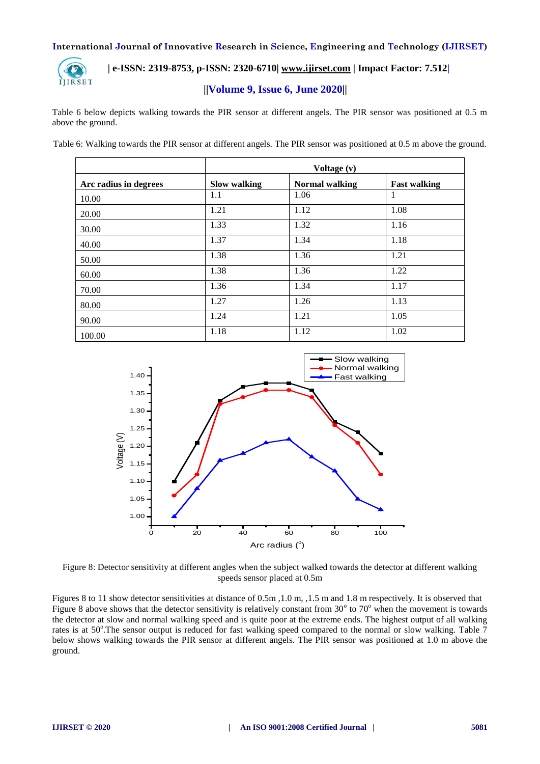

## **| e-ISSN: 2319-8753, p-ISSN: 2320-6710| [www.ijirset.com](http://www.ijirset.com/) | Impact Factor: 7.512|**

## **||Volume 9, Issue 6, June 2020||**

Table 6 below depicts walking towards the PIR sensor at different angels. The PIR sensor was positioned at 0.5 m above the ground.

Table 6: Walking towards the PIR sensor at different angels. The PIR sensor was positioned at 0.5 m above the ground.

|                       | Voltage (v)  |                       |                     |  |
|-----------------------|--------------|-----------------------|---------------------|--|
| Arc radius in degrees | Slow walking | <b>Normal walking</b> | <b>Fast walking</b> |  |
| 10.00                 | 1.1          | 1.06                  |                     |  |
| 20.00                 | 1.21         | 1.12                  | 1.08                |  |
| 30.00                 | 1.33         | 1.32                  | 1.16                |  |
| 40.00                 | 1.37         | 1.34                  | 1.18                |  |
| 50.00                 | 1.38         | 1.36                  | 1.21                |  |
| 60.00                 | 1.38         | 1.36                  | 1.22                |  |
| 70.00                 | 1.36         | 1.34                  | 1.17                |  |
| 80.00                 | 1.27         | 1.26                  | 1.13                |  |
| 90.00                 | 1.24         | 1.21                  | 1.05                |  |
| 100.00                | 1.18         | 1.12                  | 1.02                |  |



Figure 8: Detector sensitivity at different angles when the subject walked towards the detector at different walking speeds sensor placed at 0.5m

Figures 8 to 11 show detector sensitivities at distance of 0.5m ,1.0 m, ,1.5 m and 1.8 m respectively. It is observed that Figure 8 above shows that the detector sensitivity is relatively constant from  $30^{\circ}$  to  $70^{\circ}$  when the movement is towards the detector at slow and normal walking speed and is quite poor at the extreme ends. The highest output of all walking rates is at 50°. The sensor output is reduced for fast walking speed compared to the normal or slow walking. Table 7 below shows walking towards the PIR sensor at different angels. The PIR sensor was positioned at 1.0 m above the ground.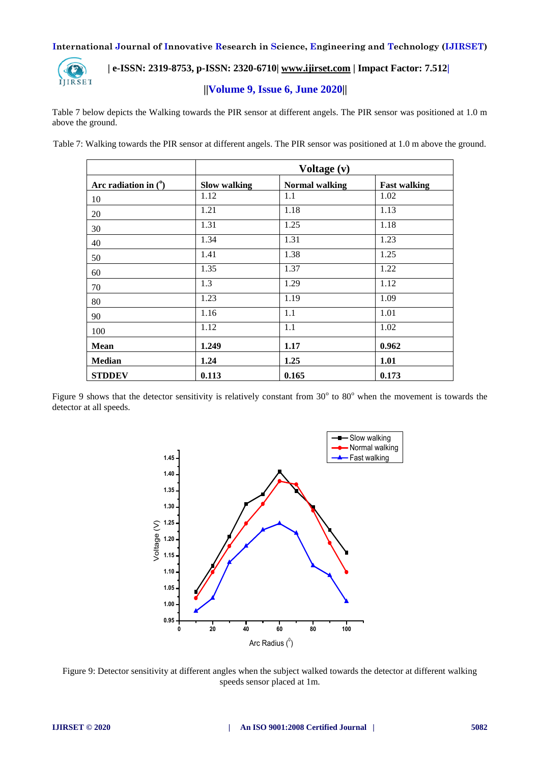

# **| e-ISSN: 2319-8753, p-ISSN: 2320-6710| [www.ijirset.com](http://www.ijirset.com/) | Impact Factor: 7.512|**

## **||Volume 9, Issue 6, June 2020||**

Table 7 below depicts the Walking towards the PIR sensor at different angels. The PIR sensor was positioned at 1.0 m above the ground.

Table 7: Walking towards the PIR sensor at different angels. The PIR sensor was positioned at 1.0 m above the ground.

|                        |                     | Voltage (v)           |                     |  |
|------------------------|---------------------|-----------------------|---------------------|--|
| Arc radiation in $(°)$ | <b>Slow walking</b> | <b>Normal walking</b> | <b>Fast walking</b> |  |
| 10                     | 1.12                | 1.1                   | 1.02                |  |
| 20                     | 1.21                | 1.18                  | 1.13                |  |
| 30                     | 1.31                | 1.25                  | 1.18                |  |
| 40                     | 1.34                | 1.31                  | 1.23                |  |
| 50                     | 1.41                | 1.38                  | 1.25                |  |
| 60                     | 1.35                | 1.37                  | 1.22                |  |
| 70                     | 1.3                 | 1.29                  | 1.12                |  |
| 80                     | 1.23                | 1.19                  | 1.09                |  |
| 90                     | 1.16                | 1.1                   | 1.01                |  |
| 100                    | 1.12                | 1.1                   | 1.02                |  |
| <b>Mean</b>            | 1.249               | 1.17                  | 0.962               |  |
| <b>Median</b>          | 1.24                | 1.25                  | 1.01                |  |
| <b>STDDEV</b>          | 0.113               | 0.165                 | 0.173               |  |

Figure 9 shows that the detector sensitivity is relatively constant from  $30^{\circ}$  to  $80^{\circ}$  when the movement is towards the detector at all speeds.



Figure 9: Detector sensitivity at different angles when the subject walked towards the detector at different walking speeds sensor placed at 1m.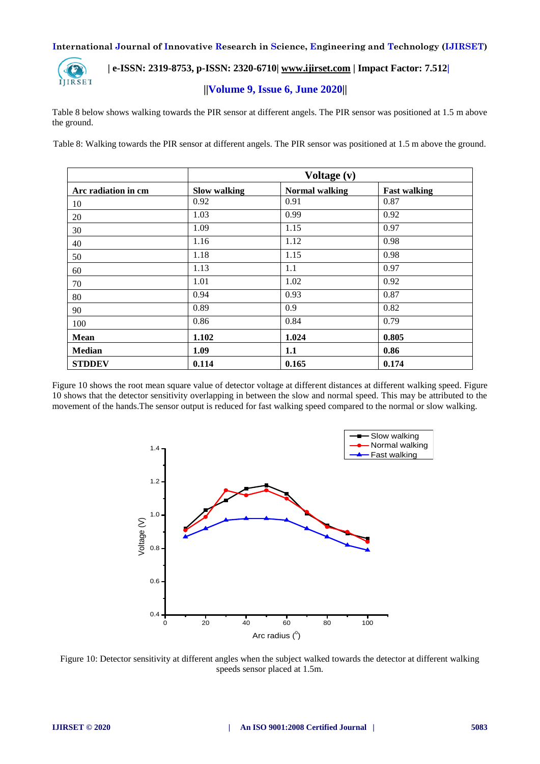

 **| e-ISSN: 2319-8753, p-ISSN: 2320-6710| [www.ijirset.com](http://www.ijirset.com/) | Impact Factor: 7.512|**

## **||Volume 9, Issue 6, June 2020||**

Table 8 below shows walking towards the PIR sensor at different angels. The PIR sensor was positioned at 1.5 m above the ground.

Table 8: Walking towards the PIR sensor at different angels. The PIR sensor was positioned at 1.5 m above the ground.

|                     |                     | Voltage (v)           |                     |  |
|---------------------|---------------------|-----------------------|---------------------|--|
| Arc radiation in cm | <b>Slow walking</b> | <b>Normal walking</b> | <b>Fast walking</b> |  |
| 10                  | 0.92                | 0.91                  | 0.87                |  |
| 20                  | 1.03                | 0.99                  | 0.92                |  |
| 30                  | 1.09                | 1.15                  | 0.97                |  |
| 40                  | 1.16                | 1.12                  | 0.98                |  |
| 50                  | 1.18                | 1.15                  | 0.98                |  |
| 60                  | 1.13                | 1.1                   | 0.97                |  |
| 70                  | 1.01                | 1.02                  | 0.92                |  |
| 80                  | 0.94                | 0.93                  | 0.87                |  |
| 90                  | 0.89                | 0.9                   | 0.82                |  |
| 100                 | 0.86                | 0.84                  | 0.79                |  |
| <b>Mean</b>         | 1.102               | 1.024                 | 0.805               |  |
| <b>Median</b>       | 1.09                | 1.1                   | 0.86                |  |
| <b>STDDEV</b>       | 0.114               | 0.165                 | 0.174               |  |

Figure 10 shows the root mean square value of detector voltage at different distances at different walking speed. Figure 10 shows that the detector sensitivity overlapping in between the slow and normal speed. This may be attributed to the movement of the hands.The sensor output is reduced for fast walking speed compared to the normal or slow walking.



Figure 10: Detector sensitivity at different angles when the subject walked towards the detector at different walking speeds sensor placed at 1.5m.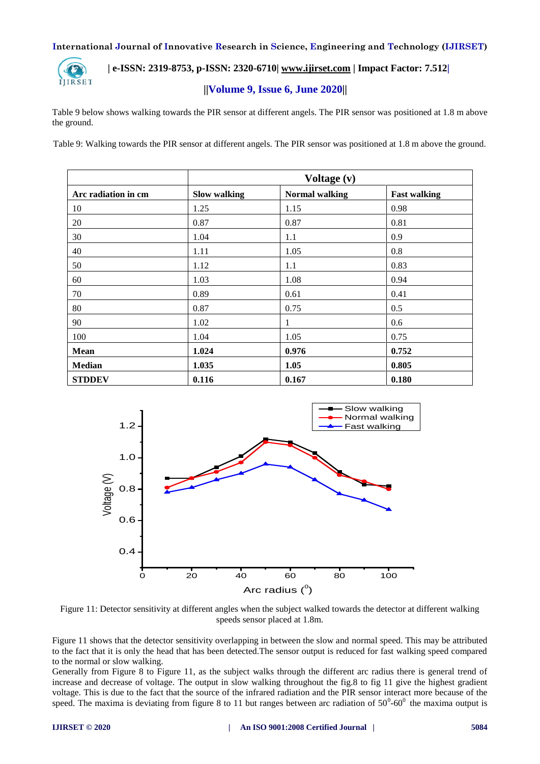

 **| e-ISSN: 2319-8753, p-ISSN: 2320-6710| [www.ijirset.com](http://www.ijirset.com/) | Impact Factor: 7.512|**

## **||Volume 9, Issue 6, June 2020||**

Table 9 below shows walking towards the PIR sensor at different angels. The PIR sensor was positioned at 1.8 m above the ground.

Table 9: Walking towards the PIR sensor at different angels. The PIR sensor was positioned at 1.8 m above the ground.

|                     |                     | Voltage (v)           |                     |  |
|---------------------|---------------------|-----------------------|---------------------|--|
| Arc radiation in cm | <b>Slow walking</b> | <b>Normal walking</b> | <b>Fast walking</b> |  |
| 10                  | 1.25                | 1.15                  | 0.98                |  |
| 20                  | 0.87                | 0.87                  | 0.81                |  |
| 30                  | 1.04                | 1.1                   | 0.9                 |  |
| 40                  | 1.11                | 1.05                  | 0.8                 |  |
| 50                  | 1.12                | 1.1                   | 0.83                |  |
| 60                  | 1.03                | 1.08                  | 0.94                |  |
| 70                  | 0.89                | 0.61                  | 0.41                |  |
| 80                  | 0.87                | 0.75                  | 0.5                 |  |
| 90                  | 1.02                | 1                     | 0.6                 |  |
| 100                 | 1.04                | 1.05                  | 0.75                |  |
| Mean                | 1.024               | 0.976                 | 0.752               |  |
| <b>Median</b>       | 1.035               | 1.05                  | 0.805               |  |
| <b>STDDEV</b>       | 0.116               | 0.167                 | 0.180               |  |



Figure 11: Detector sensitivity at different angles when the subject walked towards the detector at different walking speeds sensor placed at 1.8m.

Figure 11 shows that the detector sensitivity overlapping in between the slow and normal speed. This may be attributed to the fact that it is only the head that has been detected.The sensor output is reduced for fast walking speed compared to the normal or slow walking.

Generally from Figure 8 to Figure 11, as the subject walks through the different arc radius there is general trend of increase and decrease of voltage. The output in slow walking throughout the fig.8 to fig 11 give the highest gradient voltage. This is due to the fact that the source of the infrared radiation and the PIR sensor interact more because of the speed. The maxima is deviating from figure 8 to 11 but ranges between arc radiation of  $50^0$ - $60^0$  the maxima output is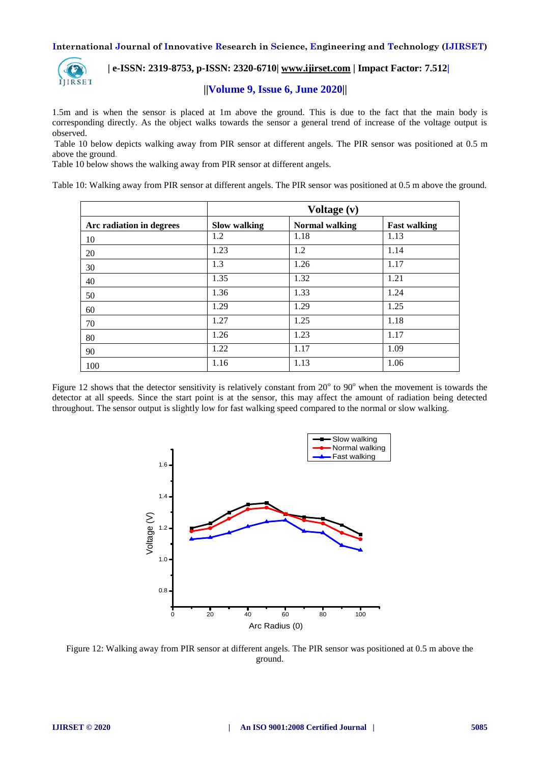

 **| e-ISSN: 2319-8753, p-ISSN: 2320-6710| [www.ijirset.com](http://www.ijirset.com/) | Impact Factor: 7.512|**

## **||Volume 9, Issue 6, June 2020||**

1.5m and is when the sensor is placed at 1m above the ground. This is due to the fact that the main body is corresponding directly. As the object walks towards the sensor a general trend of increase of the voltage output is observed.

Table 10 below depicts walking away from PIR sensor at different angels. The PIR sensor was positioned at 0.5 m above the ground.

Table 10 below shows the walking away from PIR sensor at different angels.

Table 10: Walking away from PIR sensor at different angels. The PIR sensor was positioned at 0.5 m above the ground.

|                          | Voltage (v)         |                |                     |
|--------------------------|---------------------|----------------|---------------------|
| Arc radiation in degrees | <b>Slow walking</b> | Normal walking | <b>Fast walking</b> |
| 10                       | 1.2                 | 1.18           | 1.13                |
| 20                       | 1.23                | 1.2            | 1.14                |
| 30                       | 1.3                 | 1.26           | 1.17                |
| 40                       | 1.35                | 1.32           | 1.21                |
| 50                       | 1.36                | 1.33           | 1.24                |
| 60                       | 1.29                | 1.29           | 1.25                |
| 70                       | 1.27                | 1.25           | 1.18                |
| 80                       | 1.26                | 1.23           | 1.17                |
| 90                       | 1.22                | 1.17           | 1.09                |
| 100                      | 1.16                | 1.13           | 1.06                |

Figure 12 shows that the detector sensitivity is relatively constant from  $20^{\circ}$  to  $90^{\circ}$  when the movement is towards the detector at all speeds. Since the start point is at the sensor, this may affect the amount of radiation being detected throughout. The sensor output is slightly low for fast walking speed compared to the normal or slow walking.



Figure 12: Walking away from PIR sensor at different angels. The PIR sensor was positioned at 0.5 m above the ground.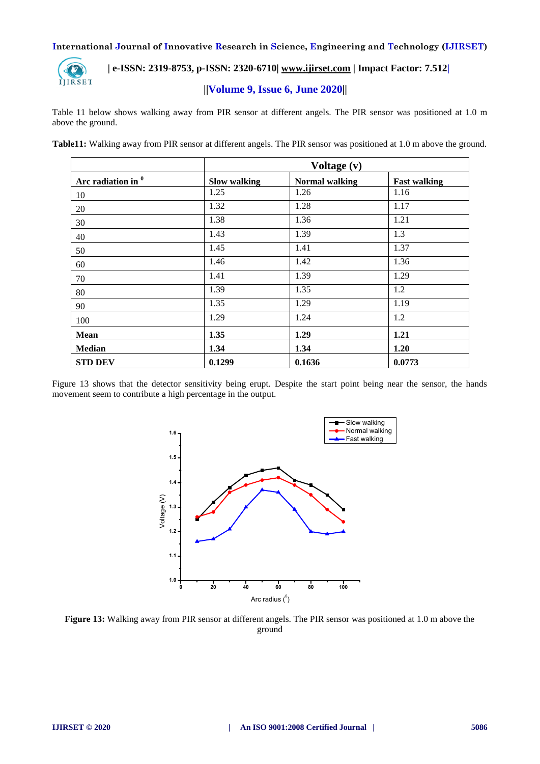

# **| e-ISSN: 2319-8753, p-ISSN: 2320-6710| [www.ijirset.com](http://www.ijirset.com/) | Impact Factor: 7.512|**

# **||Volume 9, Issue 6, June 2020||**

Table 11 below shows walking away from PIR sensor at different angels. The PIR sensor was positioned at 1.0 m above the ground.

|  |  | Table11: Walking away from PIR sensor at different angels. The PIR sensor was positioned at 1.0 m above the ground. |
|--|--|---------------------------------------------------------------------------------------------------------------------|
|  |  |                                                                                                                     |

|                               | Voltage (v)         |                       |                     |
|-------------------------------|---------------------|-----------------------|---------------------|
| Arc radiation in <sup>0</sup> | <b>Slow walking</b> | <b>Normal walking</b> | <b>Fast walking</b> |
| 10                            | 1.25                | 1.26                  | 1.16                |
| 20                            | 1.32                | 1.28                  | 1.17                |
| 30                            | 1.38                | 1.36                  | 1.21                |
| 40                            | 1.43                | 1.39                  | 1.3                 |
| 50                            | 1.45                | 1.41                  | 1.37                |
| 60                            | 1.46                | 1.42                  | 1.36                |
| 70                            | 1.41                | 1.39                  | 1.29                |
| 80                            | 1.39                | 1.35                  | 1.2                 |
| 90                            | 1.35                | 1.29                  | 1.19                |
| 100                           | 1.29                | 1.24                  | 1.2                 |
| Mean                          | 1.35                | 1.29                  | 1.21                |
| <b>Median</b>                 | 1.34                | 1.34                  | 1.20                |
| <b>STD DEV</b>                | 0.1299              | 0.1636                | 0.0773              |

Figure 13 shows that the detector sensitivity being erupt. Despite the start point being near the sensor, the hands movement seem to contribute a high percentage in the output.



**Figure 13:** Walking away from PIR sensor at different angels. The PIR sensor was positioned at 1.0 m above the ground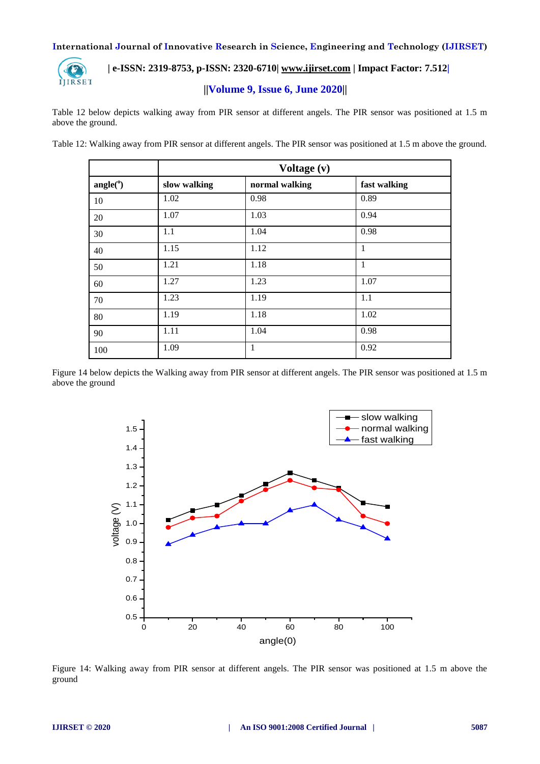

# **| e-ISSN: 2319-8753, p-ISSN: 2320-6710| [www.ijirset.com](http://www.ijirset.com/) | Impact Factor: 7.512|**

## **||Volume 9, Issue 6, June 2020||**

Table 12 below depicts walking away from PIR sensor at different angels. The PIR sensor was positioned at 1.5 m above the ground.

Table 12: Walking away from PIR sensor at different angels. The PIR sensor was positioned at 1.5 m above the ground.

|                    | Voltage (v)  |                |              |
|--------------------|--------------|----------------|--------------|
| angle <sup>o</sup> | slow walking | normal walking | fast walking |
| 10                 | 1.02         | 0.98           | 0.89         |
| 20                 | 1.07         | 1.03           | 0.94         |
| 30                 | 1.1          | 1.04           | 0.98         |
| 40                 | 1.15         | 1.12           | 1            |
| 50                 | 1.21         | 1.18           | 1            |
| 60                 | 1.27         | 1.23           | 1.07         |
| 70                 | 1.23         | 1.19           | 1.1          |
| 80                 | 1.19         | 1.18           | 1.02         |
| 90                 | 1.11         | 1.04           | 0.98         |
| 100                | 1.09         | 1              | 0.92         |

Figure 14 below depicts the Walking away from PIR sensor at different angels. The PIR sensor was positioned at 1.5 m above the ground



Figure 14: Walking away from PIR sensor at different angels. The PIR sensor was positioned at 1.5 m above the ground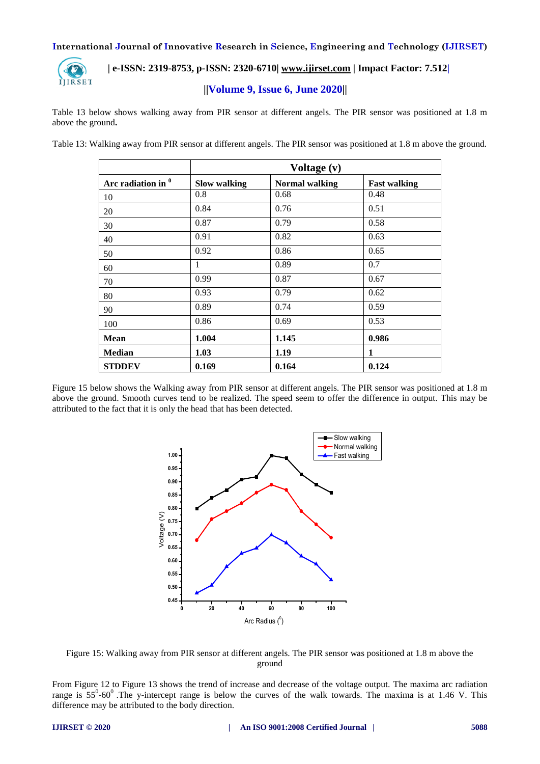

## **| e-ISSN: 2319-8753, p-ISSN: 2320-6710| [www.ijirset.com](http://www.ijirset.com/) | Impact Factor: 7.512|**

## **||Volume 9, Issue 6, June 2020||**

Table 13 below shows walking away from PIR sensor at different angels. The PIR sensor was positioned at 1.8 m above the ground**.**

Table 13: Walking away from PIR sensor at different angels. The PIR sensor was positioned at 1.8 m above the ground.

|                               | Voltage (v)         |                       |                     |
|-------------------------------|---------------------|-----------------------|---------------------|
| Arc radiation in <sup>0</sup> | <b>Slow walking</b> | <b>Normal walking</b> | <b>Fast walking</b> |
| 10                            | 0.8                 | 0.68                  | 0.48                |
| 20                            | 0.84                | 0.76                  | 0.51                |
| 30                            | 0.87                | 0.79                  | 0.58                |
| 40                            | 0.91                | 0.82                  | 0.63                |
| 50                            | 0.92                | 0.86                  | 0.65                |
| 60                            | 1                   | 0.89                  | 0.7                 |
| 70                            | 0.99                | 0.87                  | 0.67                |
| 80                            | 0.93                | 0.79                  | 0.62                |
| 90                            | 0.89                | 0.74                  | 0.59                |
| 100                           | 0.86                | 0.69                  | 0.53                |
| <b>Mean</b>                   | 1.004               | 1.145                 | 0.986               |
| <b>Median</b>                 | 1.03                | 1.19                  | 1                   |
| <b>STDDEV</b>                 | 0.169               | 0.164                 | 0.124               |

Figure 15 below shows the Walking away from PIR sensor at different angels. The PIR sensor was positioned at 1.8 m above the ground. Smooth curves tend to be realized. The speed seem to offer the difference in output. This may be attributed to the fact that it is only the head that has been detected.





From Figure 12 to Figure 13 shows the trend of increase and decrease of the voltage output. The maxima arc radiation range is  $55^{\circ}$ -60°. The y-intercept range is below the curves of the walk towards. The maxima is at 1.46 V. This difference may be attributed to the body direction.